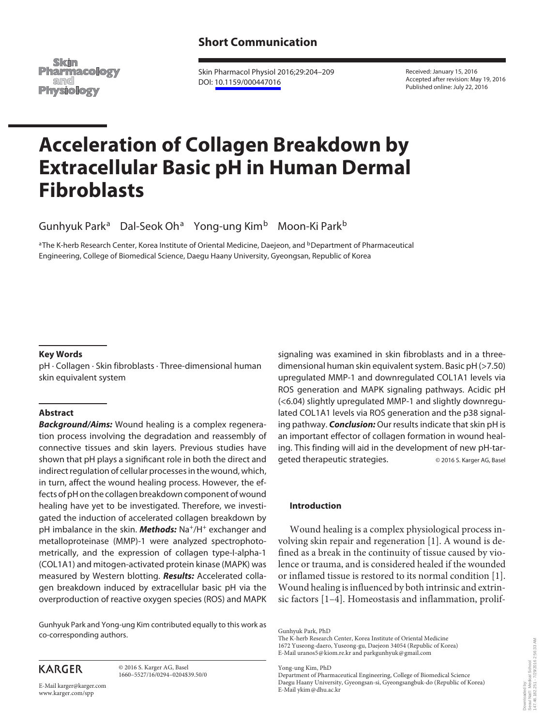## **Short Communication**

Skim **Pharmacology** and **Physiology** 

 Skin Pharmacol Physiol 2016;29:204–209 DOI: [10.1159/000447016](http://dx.doi.org/10.1159%2F000447016)

 Received: January 15, 2016 Accepted after revision: May 19, 2016 Published online: July 22, 2016

# **Acceleration of Collagen Breakdown by Extracellular Basic pH in Human Dermal Fibroblasts**

Gunhyuk Park<sup>a</sup> Dal-Seok Oh<sup>a</sup> Yong-ung Kim<sup>b</sup> Moon-Ki Park<sup>b</sup>

<sup>a</sup> The K-herb Research Center, Korea Institute of Oriental Medicine, Daejeon, and <sup>b</sup> Department of Pharmaceutical Engineering, College of Biomedical Science, Daegu Haany University, Gyeongsan , Republic of Korea

#### **Key Words**

 pH · Collagen · Skin fibroblasts · Three-dimensional human skin equivalent system

#### **Abstract**

*Background/Aims:* Wound healing is a complex regeneration process involving the degradation and reassembly of connective tissues and skin layers. Previous studies have shown that pH plays a significant role in both the direct and indirect regulation of cellular processes in the wound, which, in turn, affect the wound healing process. However, the effects of pH on the collagen breakdown component of wound healing have yet to be investigated. Therefore, we investigated the induction of accelerated collagen breakdown by pH imbalance in the skin. **Methods:** Na<sup>+</sup>/H<sup>+</sup> exchanger and metalloproteinase (MMP)-1 were analyzed spectrophotometrically, and the expression of collagen type-I-alpha-1 (COL1A1) and mitogen-activated protein kinase (MAPK) was measured by Western blotting. *Results:* Accelerated collagen breakdown induced by extracellular basic pH via the overproduction of reactive oxygen species (ROS) and MAPK

 Gunhyuk Park and Yong-ung Kim contributed equally to this work as co-corresponding authors.

signaling was examined in skin fibroblasts and in a threedimensional human skin equivalent system. Basic pH (>7.50) upregulated MMP-1 and downregulated COL1A1 levels via ROS generation and MAPK signaling pathways. Acidic pH (<6.04) slightly upregulated MMP-1 and slightly downregulated COL1A1 levels via ROS generation and the p38 signaling pathway. *Conclusion:* Our results indicate that skin pH is an important effector of collagen formation in wound healing. This finding will aid in the development of new pH-targeted therapeutic strategies.  $@ 2016 S.$  Karger AG, Basel

#### **Introduction**

 Wound healing is a complex physiological process involving skin repair and regeneration [1] . A wound is defined as a break in the continuity of tissue caused by violence or trauma, and is considered healed if the wounded or inflamed tissue is restored to its normal condition [1] . Wound healing is influenced by both intrinsic and extrinsic factors [1–4]. Homeostasis and inflammation, prolif-

Yong-ung Kim, PhD

# **KARGER**

 © 2016 S. Karger AG, Basel 1660–5527/16/0294–0204\$39.50/0

E-Mail karger@karger.com www.karger.com/spp

Gunhyuk Park, PhD

The K-herb Research Center, Korea Institute of Oriental Medicine 1672 Yuseong-daero, Yuseong-gu, Daejeon 34054 (Republic of Korea) E-Mail uranos5 @ kiom.re.kr and parkgunhyuk @ gmail.com

Department of Pharmaceutical Engineering, College of Biomedical Science Daegu Haany University, Gyeongsan-si, Gyeongsangbuk-do (Republic of Korea) E-Mail ykim @ dhu.ac.kr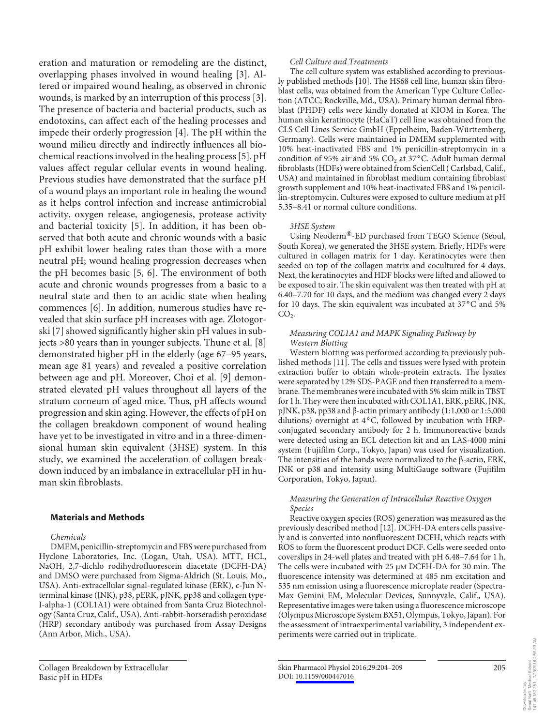eration and maturation or remodeling are the distinct, overlapping phases involved in wound healing [3]. Altered or impaired wound healing, as observed in chronic wounds, is marked by an interruption of this process [3] . The presence of bacteria and bacterial products, such as endotoxins, can affect each of the healing processes and impede their orderly progression [4]. The pH within the wound milieu directly and indirectly influences all biochemical reactions involved in the healing process [5] . pH values affect regular cellular events in wound healing. Previous studies have demonstrated that the surface pH of a wound plays an important role in healing the wound as it helps control infection and increase antimicrobial activity, oxygen release, angiogenesis, protease activity and bacterial toxicity [5]. In addition, it has been observed that both acute and chronic wounds with a basic pH exhibit lower healing rates than those with a more neutral pH; wound healing progression decreases when the pH becomes basic  $[5, 6]$ . The environment of both acute and chronic wounds progresses from a basic to a neutral state and then to an acidic state when healing commences [6]. In addition, numerous studies have revealed that skin surface pH increases with age. Zlotogorski [7] showed significantly higher skin pH values in subjects >80 years than in younger subjects. Thune et al. [8] demonstrated higher pH in the elderly (age 67–95 years, mean age 81 years) and revealed a positive correlation between age and pH. Moreover, Choi et al. [9] demonstrated elevated pH values throughout all layers of the stratum corneum of aged mice. Thus, pH affects wound progression and skin aging. However, the effects of pH on the collagen breakdown component of wound healing have yet to be investigated in vitro and in a three-dimensional human skin equivalent (3HSE) system. In this study, we examined the acceleration of collagen breakdown induced by an imbalance in extracellular pH in human skin fibroblasts.

#### **Materials and Methods**

#### *Chemicals*

 DMEM, penicillin-streptomycin and FBS were purchased from Hyclone Laboratories, Inc. (Logan, Utah, USA). MTT, HCL, NaOH, 2,7-dichlo rodihydrofluorescein diacetate (DCFH-DA) and DMSO were purchased from Sigma-Aldrich (St. Louis, Mo., USA). Anti-extracellular signal-regulated kinase (ERK), c-Jun Nterminal kinase (JNK), p38, pERK, pJNK, pp38 and collagen type-I-alpha-1 (COL1A1) were obtained from Santa Cruz Biotechnology (Santa Cruz, Calif., USA). Anti-rabbit-horseradish peroxidase (HRP) secondary antibody was purchased from Assay Designs (Ann Arbor, Mich., USA).

#### *Cell Culture and Treatments*

 The cell culture system was established according to previously published methods [10]. The HS68 cell line, human skin fibroblast cells, was obtained from the American Type Culture Collection (ATCC; Rockville, Md., USA). Primary human dermal fibroblast (PHDF) cells were kindly donated at KIOM in Korea. The human skin keratinocyte (HaCaT) cell line was obtained from the CLS Cell Lines Service GmbH (Eppelheim, Baden-Württemberg, Germany). Cells were maintained in DMEM supplemented with 10% heat-inactivated FBS and 1% penicillin-streptomycin in a condition of 95% air and 5%  $CO<sub>2</sub>$  at 37°C. Adult human dermal fibroblasts (HDFs) were obtained from ScienCell ( Carlsbad, Calif., USA) and maintained in fibroblast medium containing fibroblast growth supplement and 10% heat-inactivated FBS and 1% penicillin-streptomycin. Cultures were exposed to culture medium at pH 5.35–8.41 or normal culture conditions.

#### *3HSE System*

Using Neoderm<sup>®</sup>-ED purchased from TEGO Science (Seoul, South Korea), we generated the 3HSE system. Briefly, HDFs were cultured in collagen matrix for 1 day. Keratinocytes were then seeded on top of the collagen matrix and cocultured for 4 days. Next, the keratinocytes and HDF blocks were lifted and allowed to be exposed to air. The skin equivalent was then treated with pH at 6.40–7.70 for 10 days, and the medium was changed every 2 days for 10 days. The skin equivalent was incubated at 37°C and 5%  $CO<sub>2</sub>$ .

#### *Measuring COL1A1 and MAPK Signaling Pathway by Western Blotting*

 Western blotting was performed according to previously published methods [11]. The cells and tissues were lysed with protein extraction buffer to obtain whole-protein extracts. The lysates were separated by 12% SDS-PAGE and then transferred to a membrane. The membranes were incubated with 5% skim milk in TBST for 1 h. They were then incubated with COL1A1, ERK, pERK, JNK, pJNK, p38, pp38 and β-actin primary antibody (1:1,000 or 1:5,000 dilutions) overnight at 4°C, followed by incubation with HRPconjugated secondary antibody for 2 h. Immunoreactive bands were detected using an ECL detection kit and an LAS-4000 mini system (Fujifilm Corp., Tokyo, Japan) was used for visualization. The intensities of the bands were normalized to the β-actin, ERK, JNK or p38 and intensity using MultiGauge software (Fujifilm Corporation, Tokyo, Japan).

#### *Measuring the Generation of Intracellular Reactive Oxygen Species*

 Reactive oxygen species (ROS) generation was measured as the previously described method [12] . DCFH-DA enters cells passively and is converted into nonfluorescent DCFH, which reacts with ROS to form the fluorescent product DCF. Cells were seeded onto coverslips in 24-well plates and treated with pH 6.48–7.64 for 1 h. The cells were incubated with 25  $\mu$ M DCFH-DA for 30 min. The fluorescence intensity was determined at 485 nm excitation and 535 nm emission using a fluorescence microplate reader (Spectra-Max Gemini EM, Molecular Devices, Sunnyvale, Calif., USA). Representative images were taken using a fluorescence microscope (Olympus Microscope System BX51, Olympus, Tokyo, Japan). For the assessment of intraexperimental variability, 3 independent experiments were carried out in triplicate.

 Collagen Breakdown by Extracellular Basic pH in HDFs

Skin Pharmacol Physiol 2016;29:204–209 DOI: [10.1159/000447016](http://dx.doi.org/10.1159%2F000447016)

205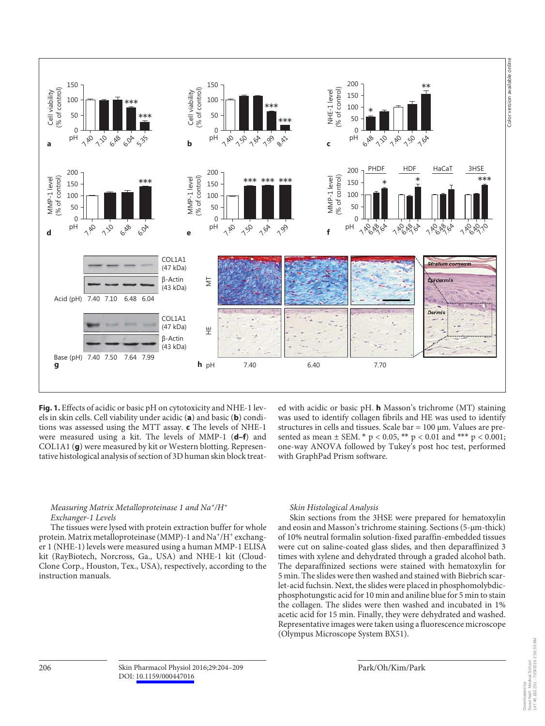

**Fig. 1.** Effects of acidic or basic pH on cytotoxicity and NHE-1 levels in skin cells. Cell viability under acidic (a) and basic (b) conditions was assessed using the MTT assay. **c** The levels of NHE-1 were measured using a kit. The levels of MMP-1 (d-f) and COL1A1 (g) were measured by kit or Western blotting. Representative histological analysis of section of 3D human skin block treat-

ed with acidic or basic pH. **h** Masson's trichrome (MT) staining was used to identify collagen fibrils and HE was used to identify structures in cells and tissues. Scale bar = 100 μm. Values are presented as mean  $\pm$  SEM. \*  $p < 0.05$ , \*\*  $p < 0.01$  and \*\*\*  $p < 0.001$ ; one-way ANOVA followed by Tukey's post hoc test, performed with GraphPad Prism software.

#### *Measuring Matrix Metalloproteinase 1 and Na + /H <sup>+</sup> Exchanger-1 Levels*

 The tissues were lysed with protein extraction buffer for whole protein. Matrix metalloproteinase (MMP)-1 and  $Na^+/H^+$  exchanger 1 (NHE-1) levels were measured using a human MMP-1 ELISA kit (RayBiotech, Norcross, Ga., USA) and NHE-1 kit (Cloud-Clone Corp., Houston, Tex., USA), respectively, according to the instruction manuals.

#### *Skin Histological Analysis*

 Skin sections from the 3HSE were prepared for hematoxylin and eosin and Masson's trichrome staining. Sections (5-μm-thick) of 10% neutral formalin solution-fixed paraffin-embedded tissues were cut on saline-coated glass slides, and then deparaffinized 3 times with xylene and dehydrated through a graded alcohol bath. The deparaffinized sections were stained with hematoxylin for 5 min. The slides were then washed and stained with Biebrich scarlet-acid fuchsin. Next, the slides were placed in phosphomolybdicphosphotungstic acid for 10 min and aniline blue for 5 min to stain the collagen. The slides were then washed and incubated in 1% acetic acid for 15 min. Finally, they were dehydrated and washed. Representative images were taken using a fluorescence microscope (Olympus Microscope System BX51).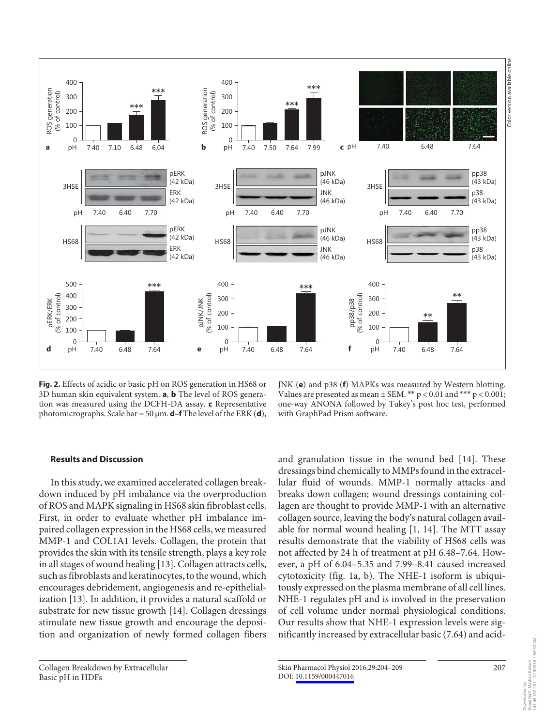

**Fig. 2.** Effects of acidic or basic pH on ROS generation in HS68 or 3D human skin equivalent system. **a** , **b** The level of ROS generation was measured using the DCFH-DA assay. **c** Representative photomicrographs. Scale bar = 50 μm. **d–f** The level of the ERK ( **d** ),

JNK (e) and p38 (f) MAPKs was measured by Western blotting. Values are presented as mean  $\pm$  SEM. \*\*  $p < 0.01$  and \*\*\*  $p < 0.001$ ; one-way ANONA followed by Tukey's post hoc test, performed with GraphPad Prism software.

#### **Results and Discussion**

 In this study, we examined accelerated collagen breakdown induced by pH imbalance via the overproduction of ROS and MAPK signaling in HS68 skin fibroblast cells. First, in order to evaluate whether pH imbalance impaired collagen expression in the HS68 cells, we measured MMP-1 and COL1A1 levels. Collagen, the protein that provides the skin with its tensile strength, plays a key role in all stages of wound healing [13] . Collagen attracts cells, such as fibroblasts and keratinocytes, to the wound, which encourages debridement, angiogenesis and re-epithelialization [13]. In addition, it provides a natural scaffold or substrate for new tissue growth [14]. Collagen dressings stimulate new tissue growth and encourage the deposition and organization of newly formed collagen fibers

and granulation tissue in the wound bed [14]. These dressings bind chemically to MMPs found in the extracellular fluid of wounds. MMP-1 normally attacks and breaks down collagen; wound dressings containing collagen are thought to provide MMP-1 with an alternative collagen source, leaving the body's natural collagen available for normal wound healing  $[1, 14]$ . The MTT assay results demonstrate that the viability of HS68 cells was not affected by 24 h of treatment at pH 6.48–7.64. However, a pH of 6.04–5.35 and 7.99–8.41 caused increased cytotoxicity (fig. 1a, b). The NHE-1 isoform is ubiquitously expressed on the plasma membrane of all cell lines. NHE-1 regulates pH and is involved in the preservation of cell volume under normal physiological conditions. Our results show that NHE-1 expression levels were significantly increased by extracellular basic (7.64) and acid-

Downloaded by: Seoul Nat'l Medical School 147.46.182.251 - 7/29/2016 2:56:33 AM

Downloaded by:<br>Seoul Nat'l Medical School<br>147.46.182.251 - 7/29/2016 2:56:33 AM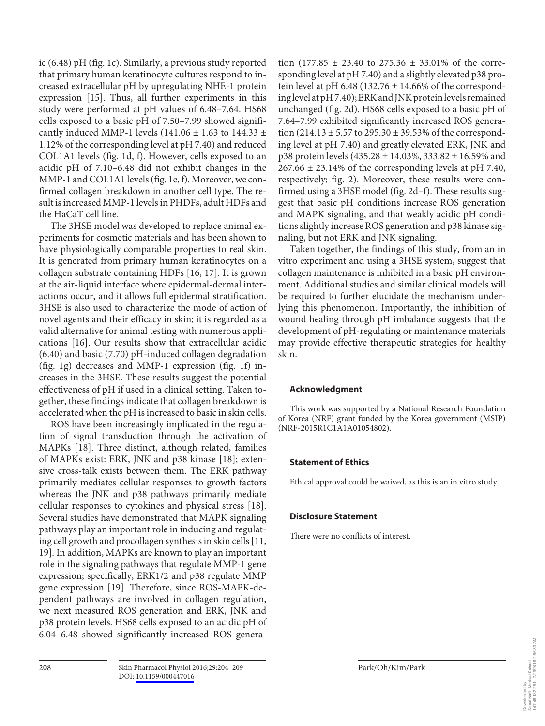ic  $(6.48)$  pH (fig. 1c). Similarly, a previous study reported that primary human keratinocyte cultures respond to increased extracellular pH by upregulating NHE-1 protein expression [15]. Thus, all further experiments in this study were performed at pH values of 6.48–7.64. HS68 cells exposed to a basic pH of 7.50–7.99 showed significantly induced MMP-1 levels (141.06  $\pm$  1.63 to 144.33  $\pm$ 1.12% of the corresponding level at pH 7.40) and reduced COL1A1 levels (fig. 1d, f). However, cells exposed to an acidic pH of 7.10–6.48 did not exhibit changes in the MMP-1 and COL1A1 levels (fig. 1e, f). Moreover, we confirmed collagen breakdown in another cell type. The result is increased MMP-1 levels in PHDFs, adult HDFs and the HaCaT cell line.

 The 3HSE model was developed to replace animal experiments for cosmetic materials and has been shown to have physiologically comparable properties to real skin. It is generated from primary human keratinocytes on a collagen substrate containing HDFs [16, 17] . It is grown at the air-liquid interface where epidermal-dermal interactions occur, and it allows full epidermal stratification. 3HSE is also used to characterize the mode of action of novel agents and their efficacy in skin; it is regarded as a valid alternative for animal testing with numerous applications [16]. Our results show that extracellular acidic (6.40) and basic (7.70) pH-induced collagen degradation ( $fig. 1g$ ) decreases and MMP-1 expression ( $fig. 1f$ ) increases in the 3HSE. These results suggest the potential effectiveness of pH if used in a clinical setting. Taken together, these findings indicate that collagen breakdown is accelerated when the pH is increased to basic in skin cells.

 ROS have been increasingly implicated in the regulation of signal transduction through the activation of MAPKs [18]. Three distinct, although related, families of MAPKs exist: ERK, JNK and p38 kinase [18]; extensive cross-talk exists between them. The ERK pathway primarily mediates cellular responses to growth factors whereas the JNK and p38 pathways primarily mediate cellular responses to cytokines and physical stress [18] . Several studies have demonstrated that MAPK signaling pathways play an important role in inducing and regulating cell growth and procollagen synthesis in skin cells [11, 19]. In addition, MAPKs are known to play an important role in the signaling pathways that regulate MMP-1 gene expression; specifically, ERK1/2 and p38 regulate MMP gene expression [19]. Therefore, since ROS-MAPK-dependent pathways are involved in collagen regulation, we next measured ROS generation and ERK, JNK and p38 protein levels. HS68 cells exposed to an acidic pH of 6.04–6.48 showed significantly increased ROS generation (177.85  $\pm$  23.40 to 275.36  $\pm$  33.01% of the corresponding level at pH 7.40) and a slightly elevated p38 protein level at pH 6.48 (132.76  $\pm$  14.66% of the corresponding level at pH 7.40); ERK and JNK protein levels remained unchanged (fig. 2d). HS68 cells exposed to a basic pH of 7.64–7.99 exhibited significantly increased ROS generation  $(214.13 \pm 5.57)$  to  $295.30 \pm 39.53$ % of the corresponding level at pH 7.40) and greatly elevated ERK, JNK and p38 protein levels (435.28 ± 14.03%, 333.82 ± 16.59% and  $267.66 \pm 23.14\%$  of the corresponding levels at pH 7.40, respectively; fig. 2). Moreover, these results were confirmed using a  $3HSE$  model (fig.  $2d-f$ ). These results suggest that basic pH conditions increase ROS generation and MAPK signaling, and that weakly acidic pH conditions slightly increase ROS generation and p38 kinase signaling, but not ERK and JNK signaling.

 Taken together, the findings of this study, from an in vitro experiment and using a 3HSE system, suggest that collagen maintenance is inhibited in a basic pH environment. Additional studies and similar clinical models will be required to further elucidate the mechanism underlying this phenomenon. Importantly, the inhibition of wound healing through pH imbalance suggests that the development of pH-regulating or maintenance materials may provide effective therapeutic strategies for healthy skin.

### **Acknowledgment**

 This work was supported by a National Research Foundation of Korea (NRF) grant funded by the Korea government (MSIP) (NRF-2015R1C1A1A01054802).

#### **Statement of Ethics**

Ethical approval could be waived, as this is an in vitro study.

#### **Disclosure Statement**

There were no conflicts of interest.